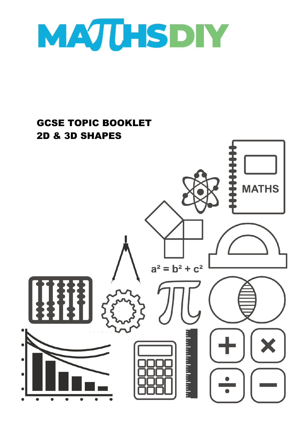

## GCSE TOPIC BOOKLET 2D & 3D SHAPES**MATHS**  $a^2 = b^2 + c^2$ a bandar bandar b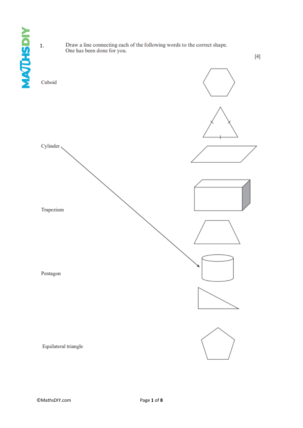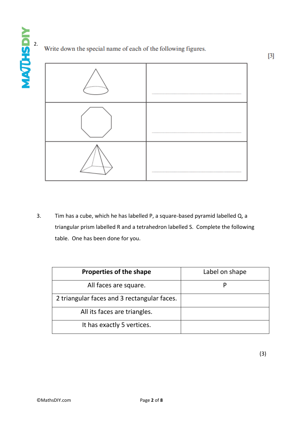## Write down the special name of each of the following figures.



3. Tim has a cube, which he has labelled P, a square-based pyramid labelled Q, a triangular prism labelled R and a tetrahedron labelled S. Complete the following table. One has been done for you.

| <b>Properties of the shape</b>              | Label on shape |
|---------------------------------------------|----------------|
| All faces are square.                       |                |
| 2 triangular faces and 3 rectangular faces. |                |
| All its faces are triangles.                |                |
| It has exactly 5 vertices.                  |                |

(3)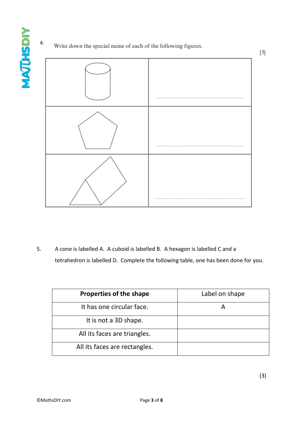4.

## Write down the special name of each of the following figures.

5. A cone is labelled A. A cuboid is labelled B. A hexagon is labelled C and a tetrahedron is labelled D. Complete the following table, one has been done for you.

| <b>Properties of the shape</b> | Label on shape |
|--------------------------------|----------------|
| It has one circular face.      |                |
| It is not a 3D shape.          |                |
| All its faces are triangles.   |                |
| All its faces are rectangles.  |                |

 $[3]$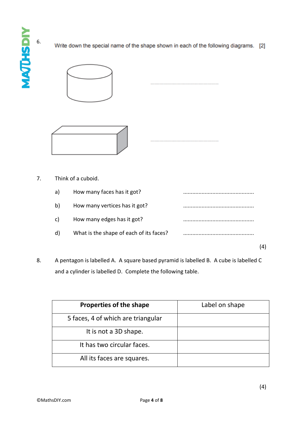**MAJUSDIY** 6.

Write down the special name of the shape shown in each of the following diagrams. [2]





## 7. Think of a cuboid.

| a) | How many faces has it got?              |  |
|----|-----------------------------------------|--|
| b) | How many vertices has it got?           |  |
| C) | How many edges has it got?              |  |
| d) | What is the shape of each of its faces? |  |
|    |                                         |  |

8. A pentagon is labelled A. A square based pyramid is labelled B. A cube is labelled C and a cylinder is labelled D. Complete the following table.

| <b>Properties of the shape</b>     | Label on shape |
|------------------------------------|----------------|
| 5 faces, 4 of which are triangular |                |
| It is not a 3D shape.              |                |
| It has two circular faces.         |                |
| All its faces are squares.         |                |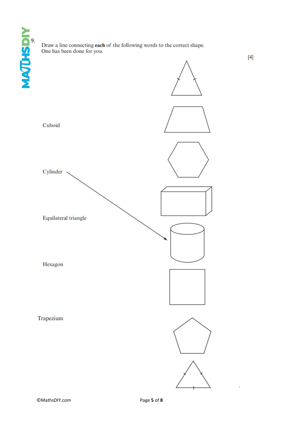Draw a line connecting **each** of the following words to the correct shape. One has been done for you.

 $[4]$ 

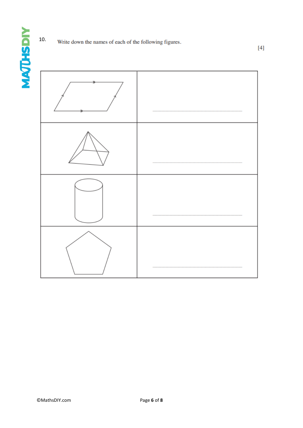**MAJUHSDIY** 



 $[4]$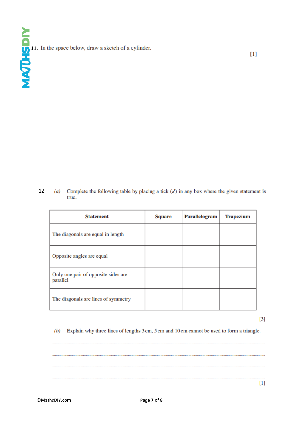11. In the space below, draw a sketch of a cylinder.

 12. $(a)$ Complete the following table by placing a tick  $(J)$  in any box where the given statement is true.

| <b>Statement</b>                                | Square | <b>Parallelogram</b> | <b>Trapezium</b> |
|-------------------------------------------------|--------|----------------------|------------------|
| The diagonals are equal in length               |        |                      |                  |
| Opposite angles are equal                       |        |                      |                  |
| Only one pair of opposite sides are<br>parallel |        |                      |                  |
| The diagonals are lines of symmetry             |        |                      |                  |

 $[3]$ 

 $[1]$ 

 $(b)$  Explain why three lines of lengths 3 cm, 5 cm and 10 cm cannot be used to form a triangle.